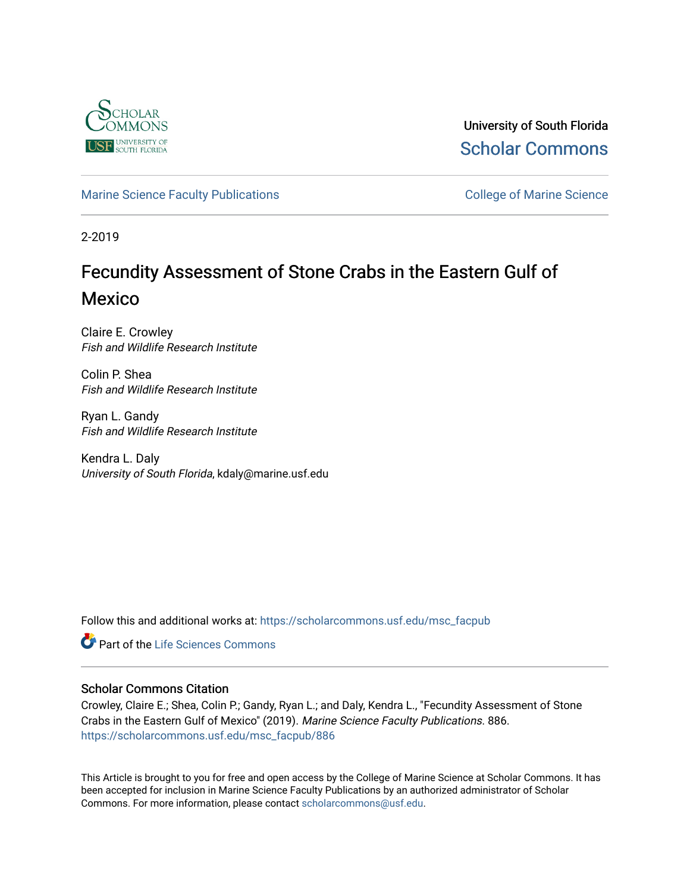

University of South Florida [Scholar Commons](https://scholarcommons.usf.edu/) 

[Marine Science Faculty Publications](https://scholarcommons.usf.edu/msc_facpub) **College of Marine Science** College of Marine Science

2-2019

# Fecundity Assessment of Stone Crabs in the Eastern Gulf of Mexico

Claire E. Crowley Fish and Wildlife Research Institute

Colin P. Shea Fish and Wildlife Research Institute

Ryan L. Gandy Fish and Wildlife Research Institute

Kendra L. Daly University of South Florida, kdaly@marine.usf.edu

Follow this and additional works at: [https://scholarcommons.usf.edu/msc\\_facpub](https://scholarcommons.usf.edu/msc_facpub?utm_source=scholarcommons.usf.edu%2Fmsc_facpub%2F886&utm_medium=PDF&utm_campaign=PDFCoverPages)

**Part of the Life Sciences Commons** 

# Scholar Commons Citation

Crowley, Claire E.; Shea, Colin P.; Gandy, Ryan L.; and Daly, Kendra L., "Fecundity Assessment of Stone Crabs in the Eastern Gulf of Mexico" (2019). Marine Science Faculty Publications. 886. [https://scholarcommons.usf.edu/msc\\_facpub/886](https://scholarcommons.usf.edu/msc_facpub/886?utm_source=scholarcommons.usf.edu%2Fmsc_facpub%2F886&utm_medium=PDF&utm_campaign=PDFCoverPages)

This Article is brought to you for free and open access by the College of Marine Science at Scholar Commons. It has been accepted for inclusion in Marine Science Faculty Publications by an authorized administrator of Scholar Commons. For more information, please contact [scholarcommons@usf.edu.](mailto:scholarcommons@usf.edu)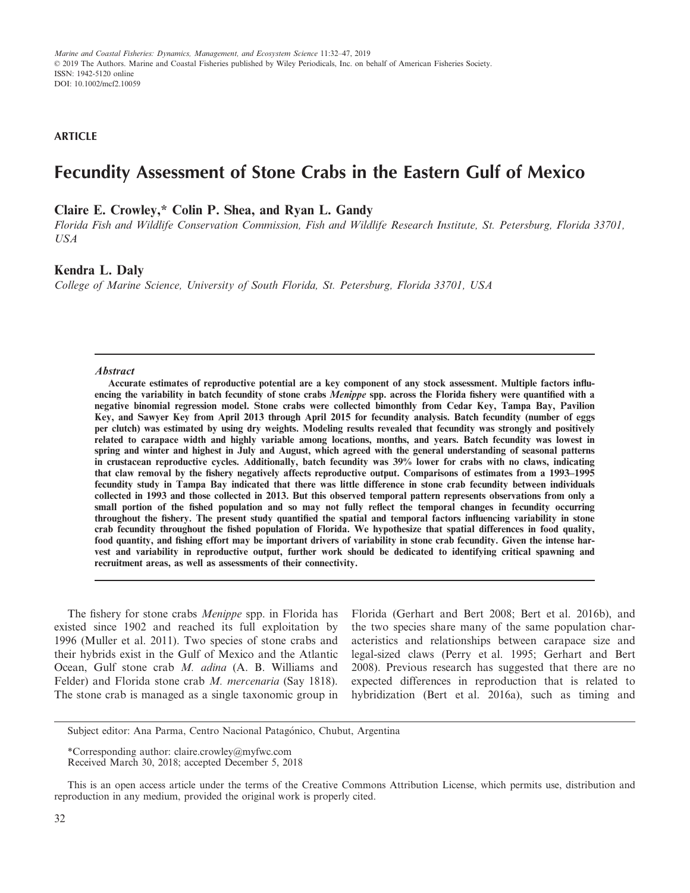**ARTICLE**

# **Fecundity Assessment of Stone Crabs in the Eastern Gulf of Mexico**

## **Claire E. Crowley,\* Colin P. Shea, and Ryan L. Gandy**

*Florida Fish and Wildlife Conservation Commission, Fish and Wildlife Research Institute, St. Petersburg, Florida 33701, USA*

### **Kendra L. Daly**

*College of Marine Science, University of South Florida, St. Petersburg, Florida 33701, USA*

#### **Abstract**

**Accurate estimates of reproductive potential are a key component of any stock assessment. Multiple factors influencing the variability in batch fecundity of stone crabs Menippe spp. across the Florida fishery were quantified with a negative binomial regression model. Stone crabs were collected bimonthly from Cedar Key, Tampa Bay, Pavilion Key, and Sawyer Key from April 2013 through April 2015 for fecundity analysis. Batch fecundity (number of eggs per clutch) was estimated by using dry weights. Modeling results revealed that fecundity was strongly and positively related to carapace width and highly variable among locations, months, and years. Batch fecundity was lowest in spring and winter and highest in July and August, which agreed with the general understanding of seasonal patterns in crustacean reproductive cycles. Additionally, batch fecundity was 39% lower for crabs with no claws, indicating that claw removal by the fishery negatively affects reproductive output. Comparisons of estimates from a 1993–1995 fecundity study in Tampa Bay indicated that there was little difference in stone crab fecundity between individuals collected in 1993 and those collected in 2013. But this observed temporal pattern represents observations from only a small portion of the fished population and so may not fully reflect the temporal changes in fecundity occurring throughout the fishery. The present study quantified the spatial and temporal factors influencing variability in stone crab fecundity throughout the fished population of Florida. We hypothesize that spatial differences in food quality, food quantity, and fishing effort may be important drivers of variability in stone crab fecundity. Given the intense harvest and variability in reproductive output, further work should be dedicated to identifying critical spawning and recruitment areas, as well as assessments of their connectivity.**

The fishery for stone crabs *Menippe* spp. in Florida has existed since 1902 and reached its full exploitation by 1996 (Muller et al. 2011). Two species of stone crabs and their hybrids exist in the Gulf of Mexico and the Atlantic Ocean, Gulf stone crab *M. adina* (A. B. Williams and Felder) and Florida stone crab *M. mercenaria* (Say 1818). The stone crab is managed as a single taxonomic group in

Florida (Gerhart and Bert 2008; Bert et al. 2016b), and the two species share many of the same population characteristics and relationships between carapace size and legal-sized claws (Perry et al. 1995; Gerhart and Bert 2008). Previous research has suggested that there are no expected differences in reproduction that is related to hybridization (Bert et al. 2016a), such as timing and

Subject editor: Ana Parma, Centro Nacional Patagónico, Chubut, Argentina

<sup>\*</sup>Corresponding author: [claire.crowley@myfwc.com](mailto:)

Received March 30, 2018; accepted December 5, 2018

This is an open access article under the terms of the [Creative Commons Attribution](http://creativecommons.org/licenses/by/4.0/) License, which permits use, distribution and reproduction in any medium, provided the original work is properly cited.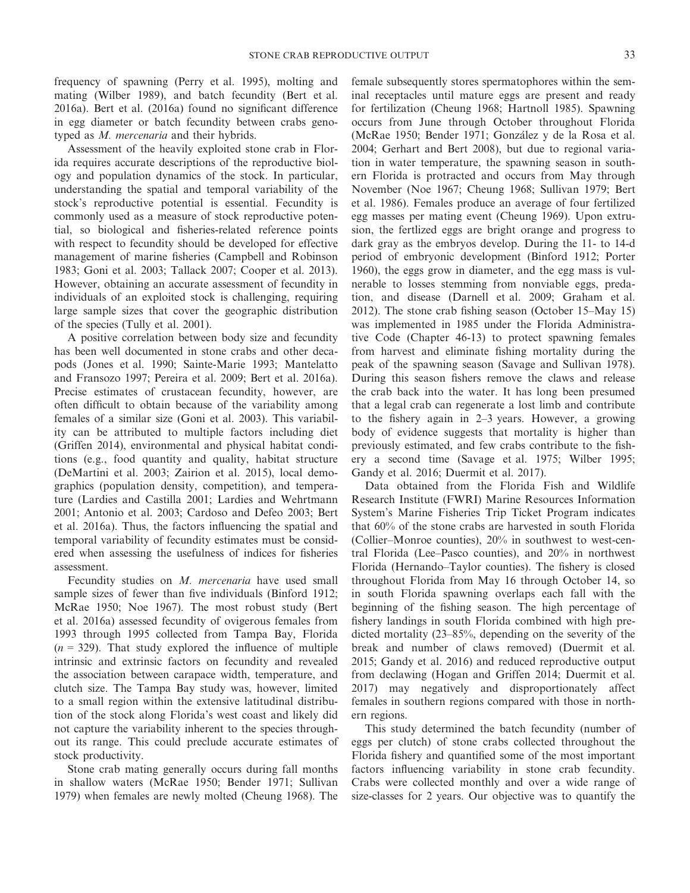frequency of spawning (Perry et al. 1995), molting and mating (Wilber 1989), and batch fecundity (Bert et al. 2016a). Bert et al. (2016a) found no significant difference in egg diameter or batch fecundity between crabs genotyped as *M. mercenaria* and their hybrids.

Assessment of the heavily exploited stone crab in Florida requires accurate descriptions of the reproductive biology and population dynamics of the stock. In particular, understanding the spatial and temporal variability of the stock's reproductive potential is essential. Fecundity is commonly used as a measure of stock reproductive potential, so biological and fisheries-related reference points with respect to fecundity should be developed for effective management of marine fisheries (Campbell and Robinson 1983; Goni et al. 2003; Tallack 2007; Cooper et al. 2013). However, obtaining an accurate assessment of fecundity in individuals of an exploited stock is challenging, requiring large sample sizes that cover the geographic distribution of the species (Tully et al. 2001).

A positive correlation between body size and fecundity has been well documented in stone crabs and other decapods (Jones et al. 1990; Sainte-Marie 1993; Mantelatto and Fransozo 1997; Pereira et al. 2009; Bert et al. 2016a). Precise estimates of crustacean fecundity, however, are often difficult to obtain because of the variability among females of a similar size (Goni et al. 2003). This variability can be attributed to multiple factors including diet (Griffen 2014), environmental and physical habitat conditions (e.g., food quantity and quality, habitat structure (DeMartini et al. 2003; Zairion et al. 2015), local demographics (population density, competition), and temperature (Lardies and Castilla 2001; Lardies and Wehrtmann 2001; Antonio et al. 2003; Cardoso and Defeo 2003; Bert et al. 2016a). Thus, the factors influencing the spatial and temporal variability of fecundity estimates must be considered when assessing the usefulness of indices for fisheries assessment.

Fecundity studies on *M. mercenaria* have used small sample sizes of fewer than five individuals (Binford 1912; McRae 1950; Noe 1967). The most robust study (Bert et al. 2016a) assessed fecundity of ovigerous females from 1993 through 1995 collected from Tampa Bay, Florida  $(n = 329)$ . That study explored the influence of multiple intrinsic and extrinsic factors on fecundity and revealed the association between carapace width, temperature, and clutch size. The Tampa Bay study was, however, limited to a small region within the extensive latitudinal distribution of the stock along Florida's west coast and likely did not capture the variability inherent to the species throughout its range. This could preclude accurate estimates of stock productivity.

Stone crab mating generally occurs during fall months in shallow waters (McRae 1950; Bender 1971; Sullivan 1979) when females are newly molted (Cheung 1968). The

female subsequently stores spermatophores within the seminal receptacles until mature eggs are present and ready for fertilization (Cheung 1968; Hartnoll 1985). Spawning occurs from June through October throughout Florida (McRae 1950; Bender 1971; Gonzalez y de la Rosa et al. 2004; Gerhart and Bert 2008), but due to regional variation in water temperature, the spawning season in southern Florida is protracted and occurs from May through November (Noe 1967; Cheung 1968; Sullivan 1979; Bert et al. 1986). Females produce an average of four fertilized egg masses per mating event (Cheung 1969). Upon extrusion, the fertlized eggs are bright orange and progress to dark gray as the embryos develop. During the 11- to 14-d period of embryonic development (Binford 1912; Porter 1960), the eggs grow in diameter, and the egg mass is vulnerable to losses stemming from nonviable eggs, predation, and disease (Darnell et al. 2009; Graham et al. 2012). The stone crab fishing season (October 15–May 15) was implemented in 1985 under the Florida Administrative Code (Chapter 46-13) to protect spawning females from harvest and eliminate fishing mortality during the peak of the spawning season (Savage and Sullivan 1978). During this season fishers remove the claws and release the crab back into the water. It has long been presumed that a legal crab can regenerate a lost limb and contribute to the fishery again in 2–3 years. However, a growing body of evidence suggests that mortality is higher than previously estimated, and few crabs contribute to the fishery a second time (Savage et al. 1975; Wilber 1995; Gandy et al. 2016; Duermit et al. 2017).

Data obtained from the Florida Fish and Wildlife Research Institute (FWRI) Marine Resources Information System's Marine Fisheries Trip Ticket Program indicates that 60% of the stone crabs are harvested in south Florida (Collier–Monroe counties), 20% in southwest to west-central Florida (Lee–Pasco counties), and 20% in northwest Florida (Hernando–Taylor counties). The fishery is closed throughout Florida from May 16 through October 14, so in south Florida spawning overlaps each fall with the beginning of the fishing season. The high percentage of fishery landings in south Florida combined with high predicted mortality (23–85%, depending on the severity of the break and number of claws removed) (Duermit et al. 2015; Gandy et al. 2016) and reduced reproductive output from declawing (Hogan and Griffen 2014; Duermit et al. 2017) may negatively and disproportionately affect females in southern regions compared with those in northern regions.

This study determined the batch fecundity (number of eggs per clutch) of stone crabs collected throughout the Florida fishery and quantified some of the most important factors influencing variability in stone crab fecundity. Crabs were collected monthly and over a wide range of size-classes for 2 years. Our objective was to quantify the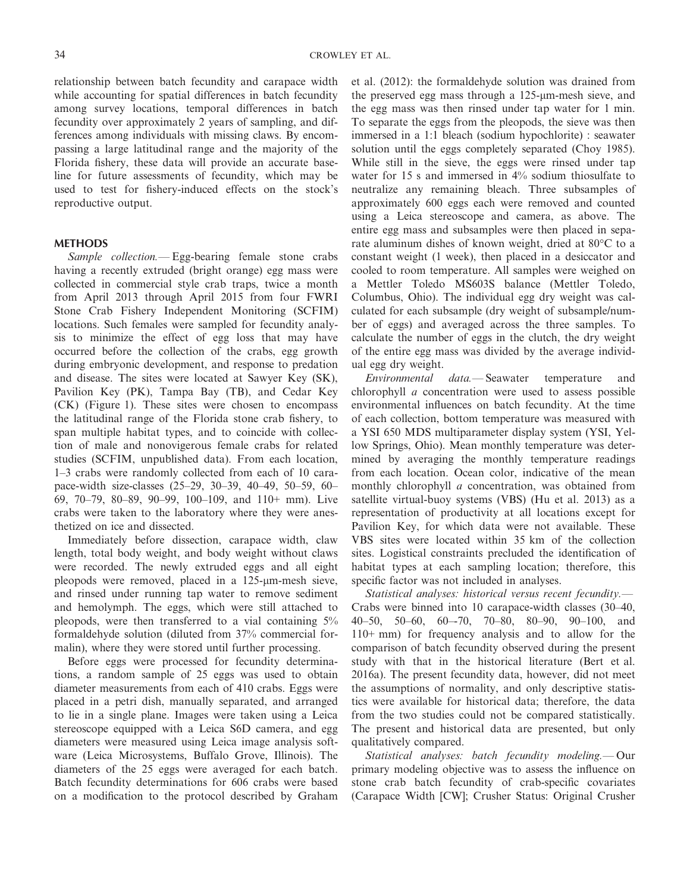relationship between batch fecundity and carapace width while accounting for spatial differences in batch fecundity among survey locations, temporal differences in batch fecundity over approximately 2 years of sampling, and differences among individuals with missing claws. By encompassing a large latitudinal range and the majority of the Florida fishery, these data will provide an accurate baseline for future assessments of fecundity, which may be used to test for fishery-induced effects on the stock's reproductive output.

#### **METHODS**

*Sample collection.—* Egg-bearing female stone crabs having a recently extruded (bright orange) egg mass were collected in commercial style crab traps, twice a month from April 2013 through April 2015 from four FWRI Stone Crab Fishery Independent Monitoring (SCFIM) locations. Such females were sampled for fecundity analysis to minimize the effect of egg loss that may have occurred before the collection of the crabs, egg growth during embryonic development, and response to predation and disease. The sites were located at Sawyer Key (SK), Pavilion Key (PK), Tampa Bay (TB), and Cedar Key (CK) (Figure 1). These sites were chosen to encompass the latitudinal range of the Florida stone crab fishery, to span multiple habitat types, and to coincide with collection of male and nonovigerous female crabs for related studies (SCFIM, unpublished data). From each location, 1–3 crabs were randomly collected from each of 10 carapace-width size-classes (25–29, 30–39, 40–49, 50–59, 60– 69, 70–79, 80–89, 90–99, 100–109, and 110+ mm). Live crabs were taken to the laboratory where they were anesthetized on ice and dissected.

Immediately before dissection, carapace width, claw length, total body weight, and body weight without claws were recorded. The newly extruded eggs and all eight pleopods were removed, placed in a 125-µm-mesh sieve, and rinsed under running tap water to remove sediment and hemolymph. The eggs, which were still attached to pleopods, were then transferred to a vial containing 5% formaldehyde solution (diluted from 37% commercial formalin), where they were stored until further processing.

Before eggs were processed for fecundity determinations, a random sample of 25 eggs was used to obtain diameter measurements from each of 410 crabs. Eggs were placed in a petri dish, manually separated, and arranged to lie in a single plane. Images were taken using a Leica stereoscope equipped with a Leica S6D camera, and egg diameters were measured using Leica image analysis software (Leica Microsystems, Buffalo Grove, Illinois). The diameters of the 25 eggs were averaged for each batch. Batch fecundity determinations for 606 crabs were based on a modification to the protocol described by Graham et al. (2012): the formaldehyde solution was drained from the preserved egg mass through a  $125$ - $\mu$ m-mesh sieve, and the egg mass was then rinsed under tap water for 1 min. To separate the eggs from the pleopods, the sieve was then immersed in a 1:1 bleach (sodium hypochlorite) : seawater solution until the eggs completely separated (Choy 1985). While still in the sieve, the eggs were rinsed under tap water for 15 s and immersed in 4% sodium thiosulfate to neutralize any remaining bleach. Three subsamples of approximately 600 eggs each were removed and counted using a Leica stereoscope and camera, as above. The entire egg mass and subsamples were then placed in separate aluminum dishes of known weight, dried at 80°C to a constant weight (1 week), then placed in a desiccator and cooled to room temperature. All samples were weighed on a Mettler Toledo MS603S balance (Mettler Toledo, Columbus, Ohio). The individual egg dry weight was calculated for each subsample (dry weight of subsample/number of eggs) and averaged across the three samples. To calculate the number of eggs in the clutch, the dry weight of the entire egg mass was divided by the average individual egg dry weight.

*Environmental data.—* Seawater temperature and chlorophyll *a* concentration were used to assess possible environmental influences on batch fecundity. At the time of each collection, bottom temperature was measured with a YSI 650 MDS multiparameter display system (YSI, Yellow Springs, Ohio). Mean monthly temperature was determined by averaging the monthly temperature readings from each location. Ocean color, indicative of the mean monthly chlorophyll *a* concentration, was obtained from satellite virtual-buoy systems (VBS) (Hu et al. 2013) as a representation of productivity at all locations except for Pavilion Key, for which data were not available. These VBS sites were located within 35 km of the collection sites. Logistical constraints precluded the identification of habitat types at each sampling location; therefore, this specific factor was not included in analyses.

*Statistical analyses: historical versus recent fecundity.—* Crabs were binned into 10 carapace-width classes (30–40, 40–50, 50–60, 60–-70, 70–80, 80–90, 90–100, and 110+ mm) for frequency analysis and to allow for the comparison of batch fecundity observed during the present study with that in the historical literature (Bert et al. 2016a). The present fecundity data, however, did not meet the assumptions of normality, and only descriptive statistics were available for historical data; therefore, the data from the two studies could not be compared statistically. The present and historical data are presented, but only qualitatively compared.

*Statistical analyses: batch fecundity modeling.—* Our primary modeling objective was to assess the influence on stone crab batch fecundity of crab-specific covariates (Carapace Width [CW]; Crusher Status: Original Crusher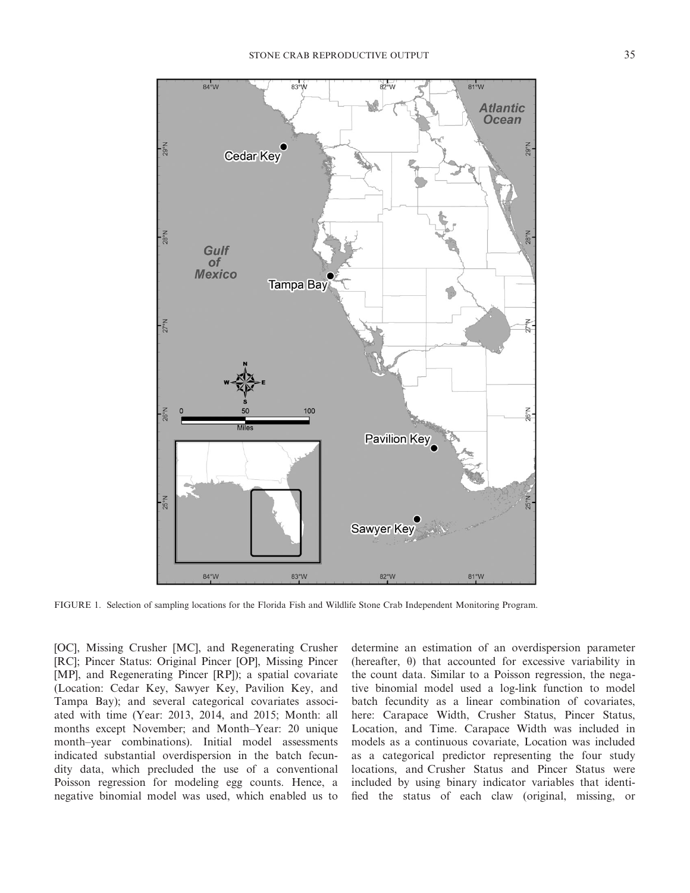

FIGURE 1. Selection of sampling locations for the Florida Fish and Wildlife Stone Crab Independent Monitoring Program.

[OC], Missing Crusher [MC], and Regenerating Crusher [RC]; Pincer Status: Original Pincer [OP], Missing Pincer [MP], and Regenerating Pincer [RP]); a spatial covariate (Location: Cedar Key, Sawyer Key, Pavilion Key, and Tampa Bay); and several categorical covariates associated with time (Year: 2013, 2014, and 2015; Month: all months except November; and Month–Year: 20 unique month–year combinations). Initial model assessments indicated substantial overdispersion in the batch fecundity data, which precluded the use of a conventional Poisson regression for modeling egg counts. Hence, a negative binomial model was used, which enabled us to

determine an estimation of an overdispersion parameter (hereafter,  $\theta$ ) that accounted for excessive variability in the count data. Similar to a Poisson regression, the negative binomial model used a log-link function to model batch fecundity as a linear combination of covariates, here: Carapace Width, Crusher Status, Pincer Status, Location, and Time. Carapace Width was included in models as a continuous covariate, Location was included as a categorical predictor representing the four study locations, and Crusher Status and Pincer Status were included by using binary indicator variables that identified the status of each claw (original, missing, or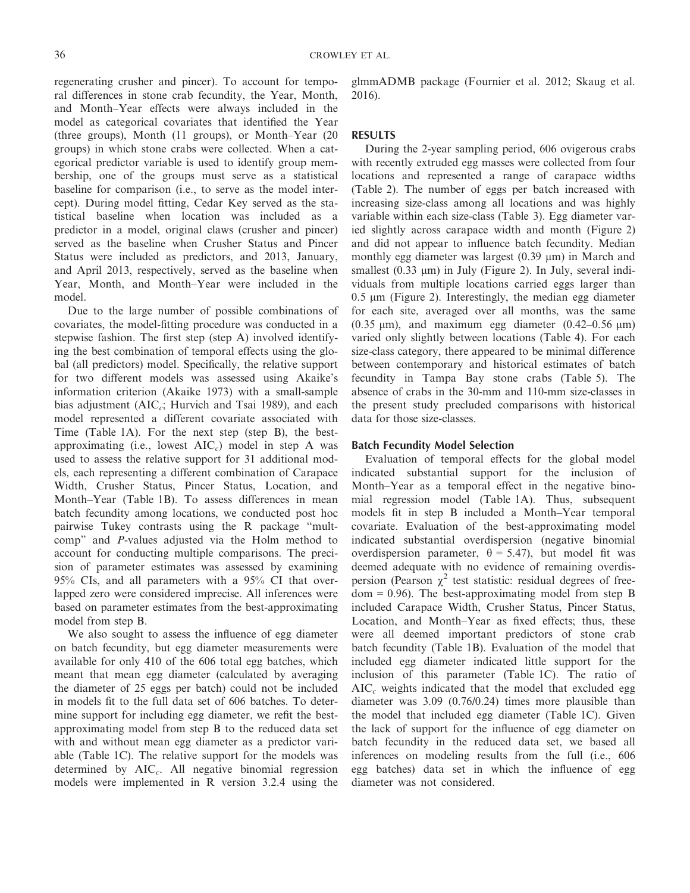regenerating crusher and pincer). To account for temporal differences in stone crab fecundity, the Year, Month, and Month–Year effects were always included in the model as categorical covariates that identified the Year (three groups), Month (11 groups), or Month–Year (20 groups) in which stone crabs were collected. When a categorical predictor variable is used to identify group membership, one of the groups must serve as a statistical baseline for comparison (i.e., to serve as the model intercept). During model fitting, Cedar Key served as the statistical baseline when location was included as a predictor in a model, original claws (crusher and pincer) served as the baseline when Crusher Status and Pincer Status were included as predictors, and 2013, January, and April 2013, respectively, served as the baseline when Year, Month, and Month–Year were included in the model.

Due to the large number of possible combinations of covariates, the model-fitting procedure was conducted in a stepwise fashion. The first step (step A) involved identifying the best combination of temporal effects using the global (all predictors) model. Specifically, the relative support for two different models was assessed using Akaike's information criterion (Akaike 1973) with a small-sample bias adjustment (AIC*c*; Hurvich and Tsai 1989), and each model represented a different covariate associated with Time (Table 1A). For the next step (step B), the bestapproximating (i.e., lowest AIC*c*) model in step A was used to assess the relative support for 31 additional models, each representing a different combination of Carapace Width, Crusher Status, Pincer Status, Location, and Month–Year (Table 1B). To assess differences in mean batch fecundity among locations, we conducted post hoc pairwise Tukey contrasts using the R package "multcomp" and *P*-values adjusted via the Holm method to account for conducting multiple comparisons. The precision of parameter estimates was assessed by examining 95% CIs, and all parameters with a 95% CI that overlapped zero were considered imprecise. All inferences were based on parameter estimates from the best-approximating model from step B.

We also sought to assess the influence of egg diameter on batch fecundity, but egg diameter measurements were available for only 410 of the 606 total egg batches, which meant that mean egg diameter (calculated by averaging the diameter of 25 eggs per batch) could not be included in models fit to the full data set of 606 batches. To determine support for including egg diameter, we refit the bestapproximating model from step B to the reduced data set with and without mean egg diameter as a predictor variable (Table 1C). The relative support for the models was determined by AIC*c*. All negative binomial regression models were implemented in R version 3.2.4 using the glmmADMB package (Fournier et al. 2012; Skaug et al. 2016).

#### **RESULTS**

During the 2-year sampling period, 606 ovigerous crabs with recently extruded egg masses were collected from four locations and represented a range of carapace widths (Table 2). The number of eggs per batch increased with increasing size-class among all locations and was highly variable within each size-class (Table 3). Egg diameter varied slightly across carapace width and month (Figure 2) and did not appear to influence batch fecundity. Median monthly egg diameter was largest  $(0.39 \mu m)$  in March and smallest  $(0.33 \mu m)$  in July (Figure 2). In July, several individuals from multiple locations carried eggs larger than  $0.5 \mu m$  (Figure 2). Interestingly, the median egg diameter for each site, averaged over all months, was the same  $(0.35 \mu m)$ , and maximum egg diameter  $(0.42-0.56 \mu m)$ varied only slightly between locations (Table 4). For each size-class category, there appeared to be minimal difference between contemporary and historical estimates of batch fecundity in Tampa Bay stone crabs (Table 5). The absence of crabs in the 30-mm and 110-mm size-classes in the present study precluded comparisons with historical data for those size-classes.

#### **Batch Fecundity Model Selection**

Evaluation of temporal effects for the global model indicated substantial support for the inclusion of Month–Year as a temporal effect in the negative binomial regression model (Table 1A). Thus, subsequent models fit in step B included a Month–Year temporal covariate. Evaluation of the best-approximating model indicated substantial overdispersion (negative binomial overdispersion parameter,  $\theta = 5.47$ ), but model fit was deemed adequate with no evidence of remaining overdispersion (Pearson  $\chi^2$  test statistic: residual degrees of free $dom = 0.96$ . The best-approximating model from step B included Carapace Width, Crusher Status, Pincer Status, Location, and Month–Year as fixed effects; thus, these were all deemed important predictors of stone crab batch fecundity (Table 1B). Evaluation of the model that included egg diameter indicated little support for the inclusion of this parameter (Table 1C). The ratio of AIC*<sup>c</sup>* weights indicated that the model that excluded egg diameter was 3.09 (0.76/0.24) times more plausible than the model that included egg diameter (Table 1C). Given the lack of support for the influence of egg diameter on batch fecundity in the reduced data set, we based all inferences on modeling results from the full (i.e., 606 egg batches) data set in which the influence of egg diameter was not considered.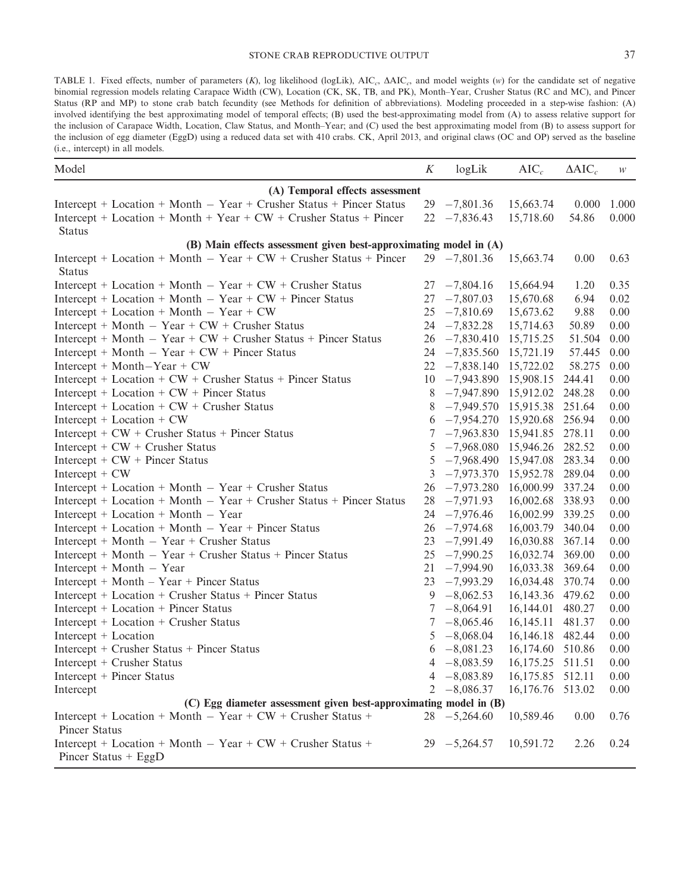TABLE 1. Fixed effects, number of parameters (*K*), log likelihood (logLik), AIC<sub>c</sub>,  $\Delta AIC_c$ , and model weights (*w*) for the candidate set of negative binomial regression models relating Carapace Width (CW), Location (CK, SK, TB, and PK), Month–Year, Crusher Status (RC and MC), and Pincer Status (RP and MP) to stone crab batch fecundity (see Methods for definition of abbreviations). Modeling proceeded in a step-wise fashion: (A) involved identifying the best approximating model of temporal effects; (B) used the best-approximating model from (A) to assess relative support for the inclusion of Carapace Width, Location, Claw Status, and Month–Year; and (C) used the best approximating model from (B) to assess support for the inclusion of egg diameter (EggD) using a reduced data set with 410 crabs. CK, April 2013, and original claws (OC and OP) served as the baseline (i.e., intercept) in all models.

| Model                                                                                   | K  | logLik                 | AIC <sub>c</sub> | $\Delta AIC_c$ | W     |  |  |  |
|-----------------------------------------------------------------------------------------|----|------------------------|------------------|----------------|-------|--|--|--|
| (A) Temporal effects assessment                                                         |    |                        |                  |                |       |  |  |  |
| Intercept + Location + Month $-$ Year + Crusher Status + Pincer Status                  |    | $29 - 7,801.36$        | 15,663.74        | 0.000          | 1.000 |  |  |  |
| Intercept + Location + Month + Year + $CW$ + Crusher Status + Pincer                    | 22 | $-7,836.43$            | 15,718.60        | 54.86          | 0.000 |  |  |  |
| <b>Status</b>                                                                           |    |                        |                  |                |       |  |  |  |
| (B) Main effects assessment given best-approximating model in (A)                       |    |                        |                  |                |       |  |  |  |
| Intercept + Location + Month $-$ Year + CW + Crusher Status + Pincer<br><b>Status</b>   |    | $29 - 7,801.36$        | 15,663.74        | 0.00           | 0.63  |  |  |  |
| Intercept + Location + Month $-$ Year + CW + Crusher Status                             | 27 | $-7,804.16$            | 15,664.94        | 1.20           | 0.35  |  |  |  |
| Intercept + Location + Month $-$ Year + CW + Pincer Status                              | 27 | $-7,807.03$            | 15,670.68        | 6.94           | 0.02  |  |  |  |
| $Intercept + Location + Month - Year + CW$                                              | 25 | $-7,810.69$            | 15,673.62        | 9.88           | 0.00  |  |  |  |
| Intercept + Month $-$ Year + CW + Crusher Status                                        | 24 | $-7,832.28$            | 15,714.63        | 50.89          | 0.00  |  |  |  |
| $Intercept + Month - Year + CW + Crusher Status + Pincer Status$                        | 26 | $-7,830.410$           | 15,715.25        | 51.504         | 0.00  |  |  |  |
| Intercept + Month $-$ Year + CW + Pincer Status                                         | 24 | $-7,835.560$           | 15,721.19        | 57.445         | 0.00  |  |  |  |
| $Intercept + Month-Year + CW$                                                           | 22 | $-7,838.140$           | 15,722.02        | 58.275         | 0.00  |  |  |  |
| Intercept + Location + $CW$ + Crusher Status + Pincer Status                            | 10 | $-7,943.890$ 15,908.15 |                  | 244.41         | 0.00  |  |  |  |
| Intercept + Location + $CW$ + Pincer Status                                             | 8  | $-7,947.890$ 15,912.02 |                  | 248.28         | 0.00  |  |  |  |
| Intercept + Location + $CW$ + Crusher Status                                            | 8  | $-7,949.570$ 15,915.38 |                  | 251.64         | 0.00  |  |  |  |
| Intercept + Location + $CW$                                                             | 6  | $-7,954.270$ 15,920.68 |                  | 256.94         | 0.00  |  |  |  |
| Intercept + $CW$ + Crusher Status + Pincer Status                                       | 7  | $-7,963.830$ 15,941.85 |                  | 278.11         | 0.00  |  |  |  |
| Intercept + $CW$ + Crusher Status                                                       | 5  | $-7,968.080$ 15,946.26 |                  | 282.52         | 0.00  |  |  |  |
| Intercept $+$ CW $+$ Pincer Status                                                      | 5  | $-7,968.490$ 15,947.08 |                  | 283.34         | 0.00  |  |  |  |
| Intercept $+$ CW                                                                        | 3  | $-7,973.370$ 15,952.78 |                  | 289.04         | 0.00  |  |  |  |
| $Intercept + Location + Month - Year + Crusher Status$                                  | 26 | $-7,973.280$           | 16,000.99        | 337.24         | 0.00  |  |  |  |
| Intercept + Location + Month $-$ Year + Crusher Status + Pincer Status                  | 28 | $-7,971.93$            | 16,002.68        | 338.93         | 0.00  |  |  |  |
| Intercept + Location + Month $-$ Year                                                   | 24 | $-7,976.46$            | 16,002.99        | 339.25         | 0.00  |  |  |  |
| $Intercept + Location + Month - Year + Pincer Status$                                   | 26 | $-7,974.68$            | 16,003.79        | 340.04         | 0.00  |  |  |  |
| $Intercept + Month - Year + Crusher Status$                                             | 23 | $-7,991.49$            | 16,030.88        | 367.14         | 0.00  |  |  |  |
| $Intercept + Month - Year + Crusher Status + Pincer Status$                             | 25 | $-7,990.25$            | 16,032.74        | 369.00         | 0.00  |  |  |  |
| $Intercept + Month - Year$                                                              | 21 | $-7,994.90$            | 16,033.38        | 369.64         | 0.00  |  |  |  |
| Intercept + Month – Year + Pincer Status                                                | 23 | $-7,993.29$            | 16,034.48        | 370.74         | 0.00  |  |  |  |
| Intercept + Location + Crusher Status + Pincer Status                                   | 9  | $-8,062.53$            | 16, 143. 36      | 479.62         | 0.00  |  |  |  |
| Intercept + Location + Pincer Status                                                    | 7  | $-8,064.91$            | 16,144.01        | 480.27         | 0.00  |  |  |  |
| Intercept + Location + Crusher Status                                                   | 7  | $-8,065.46$            | 16, 145. 11      | 481.37         | 0.00  |  |  |  |
| Intercept + Location                                                                    | 5  | $-8,068.04$            | 16,146.18        | 482.44         | 0.00  |  |  |  |
| Intercept + Crusher Status + Pincer Status                                              | 6  | $-8,081.23$            | 16,174.60 510.86 |                | 0.00  |  |  |  |
| Intercept + Crusher Status                                                              |    | $4 -8,083.59$          | 16,175.25 511.51 |                | 0.00  |  |  |  |
| Intercept + Pincer Status                                                               |    | $4 -8,083.89$          | 16,175.85 512.11 |                | 0.00  |  |  |  |
| Intercept                                                                               |    | $2 -8,086.37$          | 16,176.76 513.02 |                | 0.00  |  |  |  |
| (C) Egg diameter assessment given best-approximating model in (B)                       |    |                        |                  |                |       |  |  |  |
| Intercept + Location + Month $-$ Year + CW + Crusher Status +<br>Pincer Status          |    | $28 - 5,264.60$        | 10,589.46        | 0.00           | 0.76  |  |  |  |
| Intercept + Location + Month $-$ Year + CW + Crusher Status +<br>Pincer Status $+$ EggD |    | $29 - 5,264.57$        | 10,591.72        | 2.26           | 0.24  |  |  |  |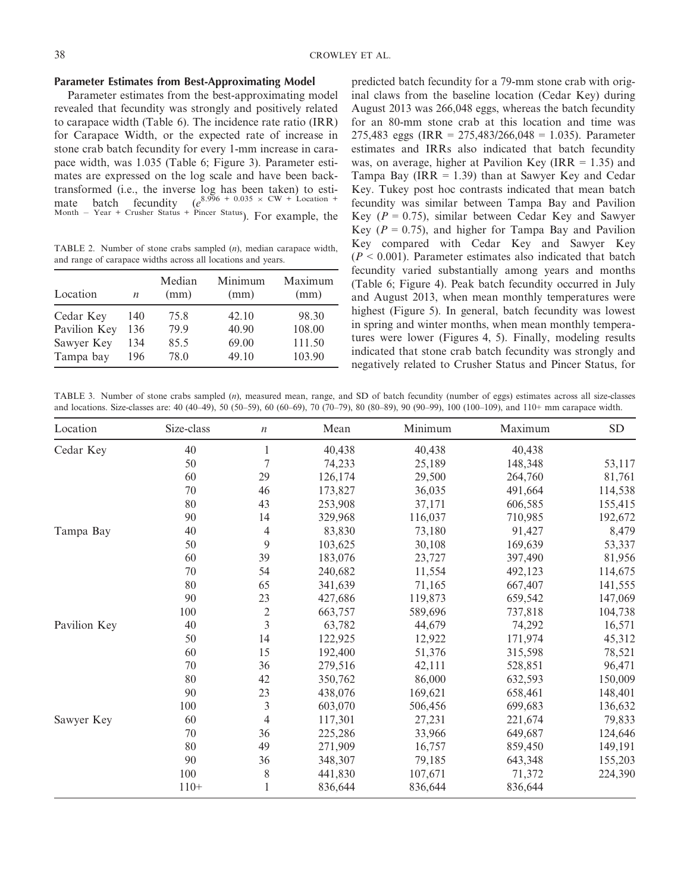#### **Parameter Estimates from Best-Approximating Model**

Parameter estimates from the best-approximating model revealed that fecundity was strongly and positively related to carapace width (Table 6). The incidence rate ratio (IRR) for Carapace Width, or the expected rate of increase in stone crab batch fecundity for every 1-mm increase in carapace width, was 1.035 (Table 6; Figure 3). Parameter estimates are expressed on the log scale and have been backtransformed (i.e., the inverse log has been taken) to estimate batch fecundity  $(e^{8.996} + 0.035 \times \text{CW} + \text{Location} +$ Month Year + Crusher Status + Pincer Status). For example, the

TABLE 2. Number of stone crabs sampled (*n*), median carapace width, and range of carapace widths across all locations and years.

| Location     | $\boldsymbol{n}$ | Median<br>(mm) | Minimum<br>(mm) | Maximum<br>(mm) |
|--------------|------------------|----------------|-----------------|-----------------|
| Cedar Key    | 140              | 75.8           | 42.10           | 98.30           |
| Pavilion Key | 136              | 79.9           | 40.90           | 108.00          |
| Sawyer Key   | 134              | 85.5           | 69.00           | 111.50          |
| Tampa bay    | 196              | 78.0           | 49.10           | 103.90          |

predicted batch fecundity for a 79-mm stone crab with original claws from the baseline location (Cedar Key) during August 2013 was 266,048 eggs, whereas the batch fecundity for an 80-mm stone crab at this location and time was 275,483 eggs (IRR = 275,483/266,048 = 1.035). Parameter estimates and IRRs also indicated that batch fecundity was, on average, higher at Pavilion Key (IRR  $= 1.35$ ) and Tampa Bay (IRR  $= 1.39$ ) than at Sawyer Key and Cedar Key. Tukey post hoc contrasts indicated that mean batch fecundity was similar between Tampa Bay and Pavilion Key  $(P = 0.75)$ , similar between Cedar Key and Sawyer Key ( $P = 0.75$ ), and higher for Tampa Bay and Pavilion Key compared with Cedar Key and Sawyer Key  $(P < 0.001)$ . Parameter estimates also indicated that batch fecundity varied substantially among years and months (Table 6; Figure 4). Peak batch fecundity occurred in July and August 2013, when mean monthly temperatures were highest (Figure 5). In general, batch fecundity was lowest in spring and winter months, when mean monthly temperatures were lower (Figures 4, 5). Finally, modeling results indicated that stone crab batch fecundity was strongly and negatively related to Crusher Status and Pincer Status, for

TABLE 3. Number of stone crabs sampled (*n*), measured mean, range, and SD of batch fecundity (number of eggs) estimates across all size-classes and locations. Size-classes are: 40 (40–49), 50 (50–59), 60 (60–69), 70 (70–79), 80 (80–89), 90 (90–99), 100 (100–109), and 110+ mm carapace width.

| Location     | Size-class   | $\boldsymbol{n}$ | Mean    | Minimum | Maximum | ${\rm SD}$ |
|--------------|--------------|------------------|---------|---------|---------|------------|
| Cedar Key    | 40           | 1                | 40,438  | 40,438  | 40,438  |            |
|              | 50           | $\overline{7}$   | 74,233  | 25,189  | 148,348 | 53,117     |
|              | 60           | 29               | 126,174 | 29,500  | 264,760 | 81,761     |
|              | 70           | 46               | 173,827 | 36,035  | 491,664 | 114,538    |
|              | $80\,$       | 43               | 253,908 | 37,171  | 606,585 | 155,415    |
|              | $90\text{ }$ | 14               | 329,968 | 116,037 | 710,985 | 192,672    |
| Tampa Bay    | 40           | 4                | 83,830  | 73,180  | 91,427  | 8,479      |
|              | 50           | 9                | 103,625 | 30,108  | 169,639 | 53,337     |
|              | 60           | 39               | 183,076 | 23,727  | 397,490 | 81,956     |
|              | 70           | 54               | 240,682 | 11,554  | 492,123 | 114,675    |
|              | 80           | 65               | 341,639 | 71,165  | 667,407 | 141,555    |
|              | 90           | 23               | 427,686 | 119,873 | 659,542 | 147,069    |
|              | 100          | $\overline{c}$   | 663,757 | 589,696 | 737,818 | 104,738    |
| Pavilion Key | 40           | 3                | 63,782  | 44,679  | 74,292  | 16,571     |
|              | 50           | 14               | 122,925 | 12,922  | 171,974 | 45,312     |
|              | 60           | 15               | 192,400 | 51,376  | 315,598 | 78,521     |
|              | 70           | 36               | 279,516 | 42,111  | 528,851 | 96,471     |
|              | 80           | 42               | 350,762 | 86,000  | 632,593 | 150,009    |
|              | 90           | 23               | 438,076 | 169,621 | 658,461 | 148,401    |
|              | 100          | 3                | 603,070 | 506,456 | 699,683 | 136,632    |
| Sawyer Key   | 60           | 4                | 117,301 | 27,231  | 221,674 | 79,833     |
|              | 70           | 36               | 225,286 | 33,966  | 649,687 | 124,646    |
|              | 80           | 49               | 271,909 | 16,757  | 859,450 | 149,191    |
|              | 90           | 36               | 348,307 | 79,185  | 643,348 | 155,203    |
|              | 100          | 8                | 441,830 | 107,671 | 71,372  | 224,390    |
|              | $110+$       |                  | 836,644 | 836,644 | 836,644 |            |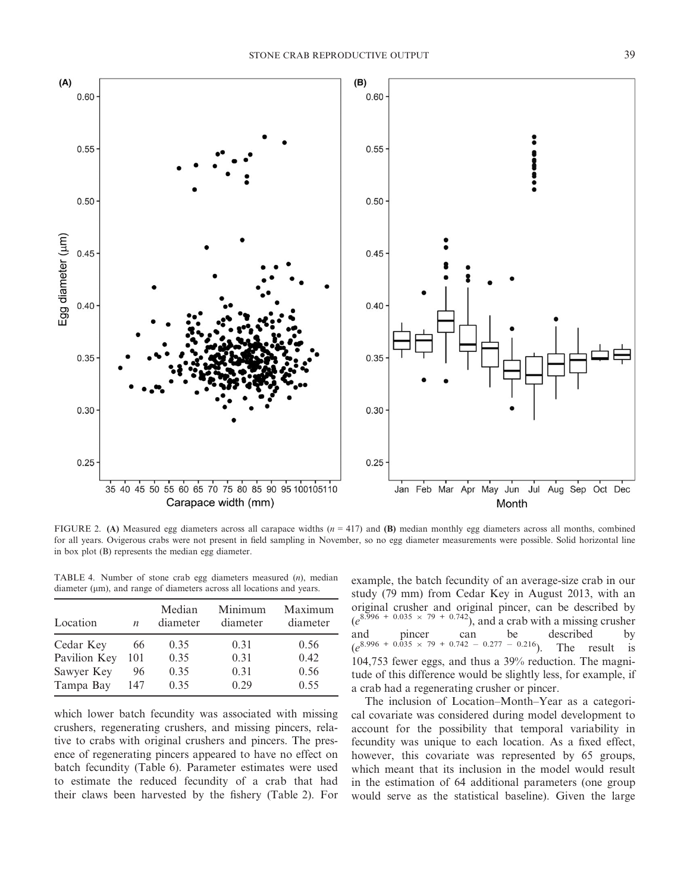

FIGURE 2. **(A)** Measured egg diameters across all carapace widths (*n* = 417) and **(B)** median monthly egg diameters across all months, combined for all years. Ovigerous crabs were not present in field sampling in November, so no egg diameter measurements were possible. Solid horizontal line in box plot (B) represents the median egg diameter.

TABLE 4. Number of stone crab egg diameters measured (*n*), median diameter ( $\mu$ m), and range of diameters across all locations and years.

| Location     | $\boldsymbol{n}$ | Median<br>diameter | Minimum<br>diameter | Maximum<br>diameter |
|--------------|------------------|--------------------|---------------------|---------------------|
| Cedar Key    | 66               | 0.35               | 0.31                | 0.56                |
| Pavilion Key | 101              | 0.35               | 0.31                | 0.42                |
| Sawyer Key   | 96               | 0.35               | 0.31                | 0.56                |
| Tampa Bay    | 147              | 0.35               | 0.29                | 0.55                |

which lower batch fecundity was associated with missing crushers, regenerating crushers, and missing pincers, relative to crabs with original crushers and pincers. The presence of regenerating pincers appeared to have no effect on batch fecundity (Table 6). Parameter estimates were used to estimate the reduced fecundity of a crab that had their claws been harvested by the fishery (Table 2). For example, the batch fecundity of an average-size crab in our study (79 mm) from Cedar Key in August 2013, with an original crusher and original pincer, can be described by  $(e^{8.996 + 0.035 \times 79 + 0.742})$ , and a crab with a missing crusher and pincer can be described by  $(e^{8.996 + 0.035 \times 79 + 0.742 - 0.277 - 0.216})$ . The result is 104,753 fewer eggs, and thus a 39% reduction. The magnitude of this difference would be slightly less, for example, if a crab had a regenerating crusher or pincer.

The inclusion of Location–Month–Year as a categorical covariate was considered during model development to account for the possibility that temporal variability in fecundity was unique to each location. As a fixed effect, however, this covariate was represented by 65 groups, which meant that its inclusion in the model would result in the estimation of 64 additional parameters (one group would serve as the statistical baseline). Given the large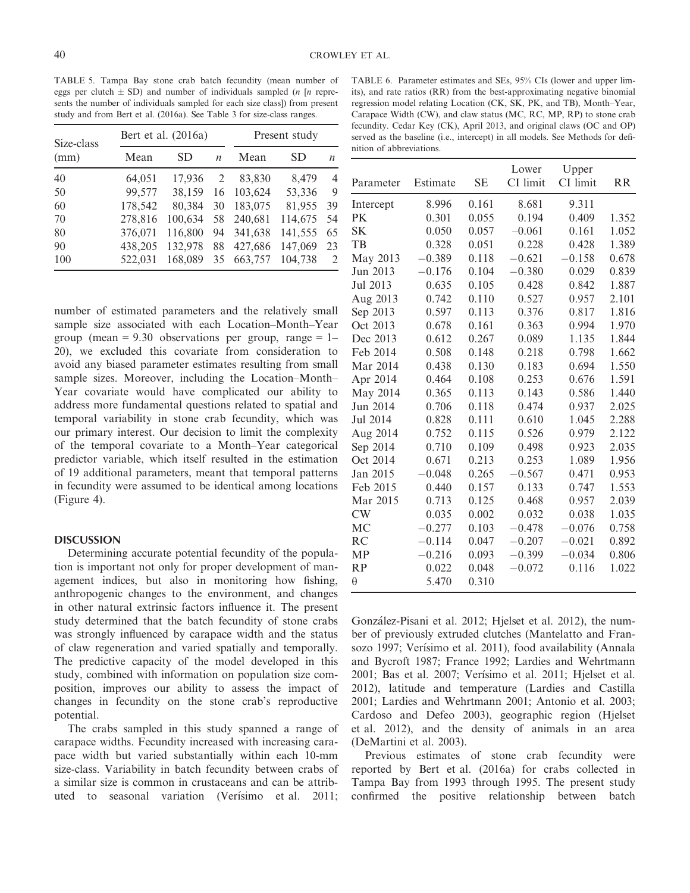TABLE 5. Tampa Bay stone crab batch fecundity (mean number of eggs per clutch  $\pm$  SD) and number of individuals sampled (*n* [*n* represents the number of individuals sampled for each size class]) from present study and from Bert et al. (2016a). See Table 3 for size-class ranges.

| Size-class<br>(mm) | Bert et al. (2016a) |           |                  | Present study |         |                               |
|--------------------|---------------------|-----------|------------------|---------------|---------|-------------------------------|
|                    | Mean                | <b>SD</b> | $\boldsymbol{n}$ | Mean          | SD      | n                             |
| 40                 | 64,051              | 17,936    | 2                | 83,830        | 8,479   | $\overline{4}$                |
| 50                 | 99,577              | 38.159    | 16               | 103.624       | 53,336  | 9                             |
| 60                 | 178,542             | 80,384    | 30               | 183,075       | 81,955  | 39                            |
| 70                 | 278,816             | 100,634   | 58               | 240,681       | 114,675 | 54                            |
| 80                 | 376,071             | 116,800   | 94               | 341,638       | 141,555 | 65                            |
| 90                 | 438,205             | 132,978   | 88               | 427,686       | 147,069 | 23                            |
| 100                | 522,031             | 168,089   | 35               | 663,757       | 104,738 | $\mathfrak{D}_{\mathfrak{p}}$ |

number of estimated parameters and the relatively small sample size associated with each Location–Month–Year group (mean = 9.30 observations per group, range =  $1-$ 20), we excluded this covariate from consideration to avoid any biased parameter estimates resulting from small sample sizes. Moreover, including the Location–Month– Year covariate would have complicated our ability to address more fundamental questions related to spatial and temporal variability in stone crab fecundity, which was our primary interest. Our decision to limit the complexity of the temporal covariate to a Month–Year categorical predictor variable, which itself resulted in the estimation of 19 additional parameters, meant that temporal patterns in fecundity were assumed to be identical among locations (Figure 4).

#### **DISCUSSION**

Determining accurate potential fecundity of the population is important not only for proper development of management indices, but also in monitoring how fishing, anthropogenic changes to the environment, and changes in other natural extrinsic factors influence it. The present study determined that the batch fecundity of stone crabs was strongly influenced by carapace width and the status of claw regeneration and varied spatially and temporally. The predictive capacity of the model developed in this study, combined with information on population size composition, improves our ability to assess the impact of changes in fecundity on the stone crab's reproductive potential.

The crabs sampled in this study spanned a range of carapace widths. Fecundity increased with increasing carapace width but varied substantially within each 10-mm size-class. Variability in batch fecundity between crabs of a similar size is common in crustaceans and can be attributed to seasonal variation (Verísimo et al. 2011;

TABLE 6. Parameter estimates and SEs, 95% CIs (lower and upper limits), and rate ratios (RR) from the best-approximating negative binomial regression model relating Location (CK, SK, PK, and TB), Month–Year, Carapace Width (CW), and claw status (MC, RC, MP, RP) to stone crab fecundity. Cedar Key (CK), April 2013, and original claws (OC and OP) served as the baseline (i.e., intercept) in all models. See Methods for definition of abbreviations.

|           |          |           | Lower    | Upper    |           |
|-----------|----------|-----------|----------|----------|-----------|
| Parameter | Estimate | <b>SE</b> | CI limit | CI limit | <b>RR</b> |
| Intercept | 8.996    | 0.161     | 8.681    | 9.311    |           |
| PK        | 0.301    | 0.055     | 0.194    | 0.409    | 1.352     |
| <b>SK</b> | 0.050    | 0.057     | $-0.061$ | 0.161    | 1.052     |
| TB        | 0.328    | 0.051     | 0.228    | 0.428    | 1.389     |
| May 2013  | $-0.389$ | 0.118     | $-0.621$ | $-0.158$ | 0.678     |
| Jun 2013  | $-0.176$ | 0.104     | $-0.380$ | 0.029    | 0.839     |
| Jul 2013  | 0.635    | 0.105     | 0.428    | 0.842    | 1.887     |
| Aug 2013  | 0.742    | 0.110     | 0.527    | 0.957    | 2.101     |
| Sep 2013  | 0.597    | 0.113     | 0.376    | 0.817    | 1.816     |
| Oct 2013  | 0.678    | 0.161     | 0.363    | 0.994    | 1.970     |
| Dec 2013  | 0.612    | 0.267     | 0.089    | 1.135    | 1.844     |
| Feb 2014  | 0.508    | 0.148     | 0.218    | 0.798    | 1.662     |
| Mar 2014  | 0.438    | 0.130     | 0.183    | 0.694    | 1.550     |
| Apr 2014  | 0.464    | 0.108     | 0.253    | 0.676    | 1.591     |
| May 2014  | 0.365    | 0.113     | 0.143    | 0.586    | 1.440     |
| Jun 2014  | 0.706    | 0.118     | 0.474    | 0.937    | 2.025     |
| Jul 2014  | 0.828    | 0.111     | 0.610    | 1.045    | 2.288     |
| Aug 2014  | 0.752    | 0.115     | 0.526    | 0.979    | 2.122     |
| Sep 2014  | 0.710    | 0.109     | 0.498    | 0.923    | 2.035     |
| Oct 2014  | 0.671    | 0.213     | 0.253    | 1.089    | 1.956     |
| Jan 2015  | $-0.048$ | 0.265     | $-0.567$ | 0.471    | 0.953     |
| Feb 2015  | 0.440    | 0.157     | 0.133    | 0.747    | 1.553     |
| Mar 2015  | 0.713    | 0.125     | 0.468    | 0.957    | 2.039     |
| CW        | 0.035    | 0.002     | 0.032    | 0.038    | 1.035     |
| MC        | $-0.277$ | 0.103     | $-0.478$ | $-0.076$ | 0.758     |
| RC        | $-0.114$ | 0.047     | $-0.207$ | $-0.021$ | 0.892     |
| MP        | $-0.216$ | 0.093     | $-0.399$ | $-0.034$ | 0.806     |
| RP        | 0.022    | 0.048     | $-0.072$ | 0.116    | 1.022     |
| $\theta$  | 5.470    | 0.310     |          |          |           |

Gonzalez-Pisani et al. 2012; Hjelset et al. 2012), the number of previously extruded clutches (Mantelatto and Fransozo 1997; Verísimo et al. 2011), food availability (Annala and Bycroft 1987; France 1992; Lardies and Wehrtmann 2001; Bas et al. 2007; Verísimo et al. 2011; Hjelset et al. 2012), latitude and temperature (Lardies and Castilla 2001; Lardies and Wehrtmann 2001; Antonio et al. 2003; Cardoso and Defeo 2003), geographic region (Hjelset et al. 2012), and the density of animals in an area (DeMartini et al. 2003).

Previous estimates of stone crab fecundity were reported by Bert et al. (2016a) for crabs collected in Tampa Bay from 1993 through 1995. The present study confirmed the positive relationship between batch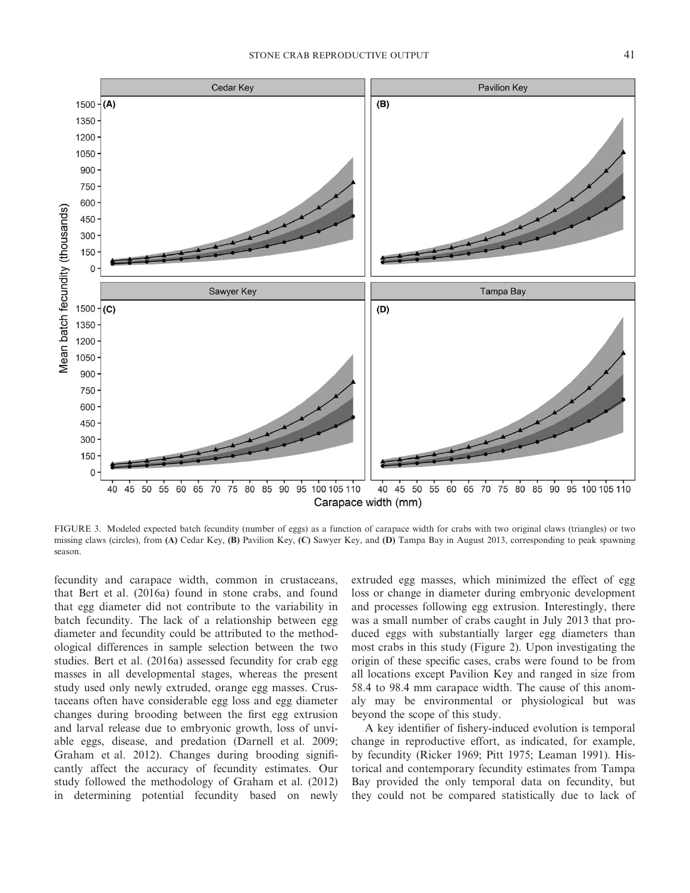

FIGURE 3. Modeled expected batch fecundity (number of eggs) as a function of carapace width for crabs with two original claws (triangles) or two missing claws (circles), from **(A)** Cedar Key, **(B)** Pavilion Key, **(C)** Sawyer Key, and **(D)** Tampa Bay in August 2013, corresponding to peak spawning season.

fecundity and carapace width, common in crustaceans, that Bert et al. (2016a) found in stone crabs, and found that egg diameter did not contribute to the variability in batch fecundity. The lack of a relationship between egg diameter and fecundity could be attributed to the methodological differences in sample selection between the two studies. Bert et al. (2016a) assessed fecundity for crab egg masses in all developmental stages, whereas the present study used only newly extruded, orange egg masses. Crustaceans often have considerable egg loss and egg diameter changes during brooding between the first egg extrusion and larval release due to embryonic growth, loss of unviable eggs, disease, and predation (Darnell et al. 2009; Graham et al. 2012). Changes during brooding significantly affect the accuracy of fecundity estimates. Our study followed the methodology of Graham et al. (2012) in determining potential fecundity based on newly

extruded egg masses, which minimized the effect of egg loss or change in diameter during embryonic development and processes following egg extrusion. Interestingly, there was a small number of crabs caught in July 2013 that produced eggs with substantially larger egg diameters than most crabs in this study (Figure 2). Upon investigating the origin of these specific cases, crabs were found to be from all locations except Pavilion Key and ranged in size from 58.4 to 98.4 mm carapace width. The cause of this anomaly may be environmental or physiological but was beyond the scope of this study.

A key identifier of fishery-induced evolution is temporal change in reproductive effort, as indicated, for example, by fecundity (Ricker 1969; Pitt 1975; Leaman 1991). Historical and contemporary fecundity estimates from Tampa Bay provided the only temporal data on fecundity, but they could not be compared statistically due to lack of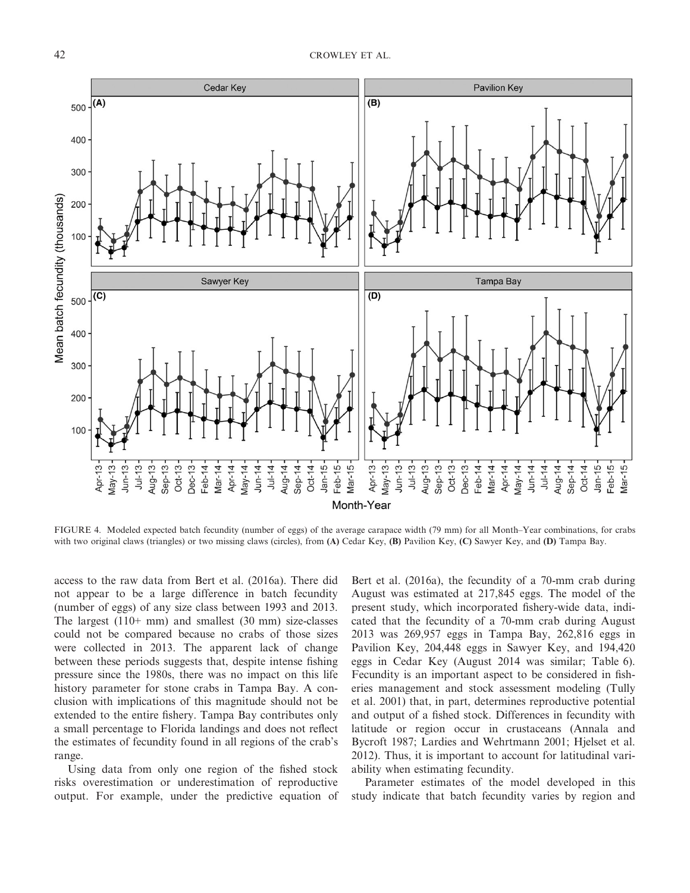

FIGURE 4. Modeled expected batch fecundity (number of eggs) of the average carapace width (79 mm) for all Month–Year combinations, for crabs with two original claws (triangles) or two missing claws (circles), from **(A)** Cedar Key, **(B)** Pavilion Key, **(C)** Sawyer Key, and **(D)** Tampa Bay.

access to the raw data from Bert et al. (2016a). There did not appear to be a large difference in batch fecundity (number of eggs) of any size class between 1993 and 2013. The largest  $(110+ mm)$  and smallest  $(30 mm)$  size-classes could not be compared because no crabs of those sizes were collected in 2013. The apparent lack of change between these periods suggests that, despite intense fishing pressure since the 1980s, there was no impact on this life history parameter for stone crabs in Tampa Bay. A conclusion with implications of this magnitude should not be extended to the entire fishery. Tampa Bay contributes only a small percentage to Florida landings and does not reflect the estimates of fecundity found in all regions of the crab's range.

Using data from only one region of the fished stock risks overestimation or underestimation of reproductive output. For example, under the predictive equation of

Bert et al. (2016a), the fecundity of a 70-mm crab during August was estimated at 217,845 eggs. The model of the present study, which incorporated fishery-wide data, indicated that the fecundity of a 70-mm crab during August 2013 was 269,957 eggs in Tampa Bay, 262,816 eggs in Pavilion Key, 204,448 eggs in Sawyer Key, and 194,420 eggs in Cedar Key (August 2014 was similar; Table 6). Fecundity is an important aspect to be considered in fisheries management and stock assessment modeling (Tully et al. 2001) that, in part, determines reproductive potential and output of a fished stock. Differences in fecundity with latitude or region occur in crustaceans (Annala and Bycroft 1987; Lardies and Wehrtmann 2001; Hjelset et al. 2012). Thus, it is important to account for latitudinal variability when estimating fecundity.

Parameter estimates of the model developed in this study indicate that batch fecundity varies by region and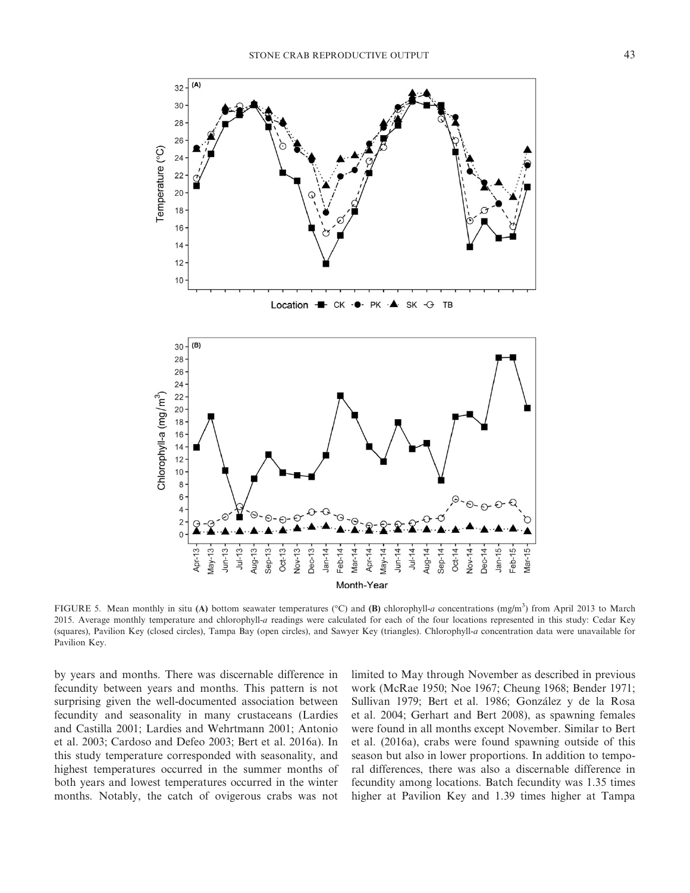

FIGURE 5. Mean monthly in situ (A) bottom seawater temperatures (°C) and (B) chlorophyll-*a* concentrations (mg/m<sup>3</sup>) from April 2013 to March 2015. Average monthly temperature and chlorophyll-*a* readings were calculated for each of the four locations represented in this study: Cedar Key (squares), Pavilion Key (closed circles), Tampa Bay (open circles), and Sawyer Key (triangles). Chlorophyll-*a* concentration data were unavailable for Pavilion Key.

by years and months. There was discernable difference in fecundity between years and months. This pattern is not surprising given the well-documented association between fecundity and seasonality in many crustaceans (Lardies and Castilla 2001; Lardies and Wehrtmann 2001; Antonio et al. 2003; Cardoso and Defeo 2003; Bert et al. 2016a). In this study temperature corresponded with seasonality, and highest temperatures occurred in the summer months of both years and lowest temperatures occurred in the winter months. Notably, the catch of ovigerous crabs was not

limited to May through November as described in previous work (McRae 1950; Noe 1967; Cheung 1968; Bender 1971; Sullivan 1979; Bert et al. 1986; Gonzalez y de la Rosa et al. 2004; Gerhart and Bert 2008), as spawning females were found in all months except November. Similar to Bert et al. (2016a), crabs were found spawning outside of this season but also in lower proportions. In addition to temporal differences, there was also a discernable difference in fecundity among locations. Batch fecundity was 1.35 times higher at Pavilion Key and 1.39 times higher at Tampa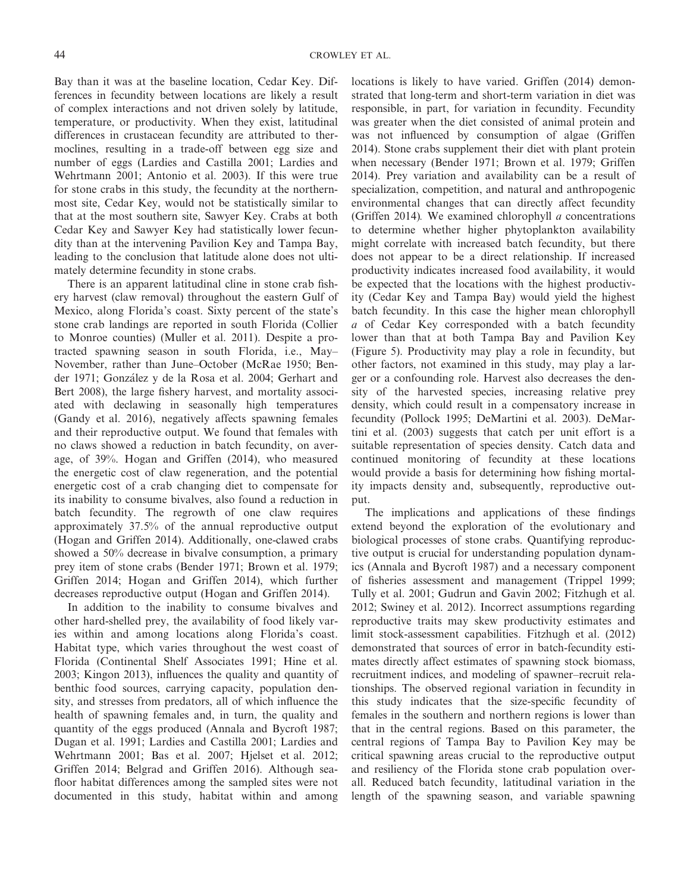Bay than it was at the baseline location, Cedar Key. Differences in fecundity between locations are likely a result of complex interactions and not driven solely by latitude, temperature, or productivity. When they exist, latitudinal differences in crustacean fecundity are attributed to thermoclines, resulting in a trade-off between egg size and number of eggs (Lardies and Castilla 2001; Lardies and Wehrtmann 2001; Antonio et al. 2003). If this were true for stone crabs in this study, the fecundity at the northernmost site, Cedar Key, would not be statistically similar to that at the most southern site, Sawyer Key. Crabs at both Cedar Key and Sawyer Key had statistically lower fecundity than at the intervening Pavilion Key and Tampa Bay, leading to the conclusion that latitude alone does not ultimately determine fecundity in stone crabs.

There is an apparent latitudinal cline in stone crab fishery harvest (claw removal) throughout the eastern Gulf of Mexico, along Florida's coast. Sixty percent of the state's stone crab landings are reported in south Florida (Collier to Monroe counties) (Muller et al. 2011). Despite a protracted spawning season in south Florida, i.e., May– November, rather than June–October (McRae 1950; Bender 1971; Gonzalez y de la Rosa et al. 2004; Gerhart and Bert 2008), the large fishery harvest, and mortality associated with declawing in seasonally high temperatures (Gandy et al. 2016), negatively affects spawning females and their reproductive output. We found that females with no claws showed a reduction in batch fecundity, on average, of 39%. Hogan and Griffen (2014), who measured the energetic cost of claw regeneration, and the potential energetic cost of a crab changing diet to compensate for its inability to consume bivalves, also found a reduction in batch fecundity. The regrowth of one claw requires approximately 37.5% of the annual reproductive output (Hogan and Griffen 2014). Additionally, one-clawed crabs showed a 50% decrease in bivalve consumption, a primary prey item of stone crabs (Bender 1971; Brown et al. 1979; Griffen 2014; Hogan and Griffen 2014), which further decreases reproductive output (Hogan and Griffen 2014).

In addition to the inability to consume bivalves and other hard-shelled prey, the availability of food likely varies within and among locations along Florida's coast. Habitat type, which varies throughout the west coast of Florida (Continental Shelf Associates 1991; Hine et al. 2003; Kingon 2013), influences the quality and quantity of benthic food sources, carrying capacity, population density, and stresses from predators, all of which influence the health of spawning females and, in turn, the quality and quantity of the eggs produced (Annala and Bycroft 1987; Dugan et al. 1991; Lardies and Castilla 2001; Lardies and Wehrtmann 2001; Bas et al. 2007; Hjelset et al. 2012; Griffen 2014; Belgrad and Griffen 2016). Although seafloor habitat differences among the sampled sites were not documented in this study, habitat within and among

locations is likely to have varied. Griffen (2014) demonstrated that long-term and short-term variation in diet was responsible, in part, for variation in fecundity. Fecundity was greater when the diet consisted of animal protein and was not influenced by consumption of algae (Griffen 2014). Stone crabs supplement their diet with plant protein when necessary (Bender 1971; Brown et al. 1979; Griffen 2014). Prey variation and availability can be a result of specialization, competition, and natural and anthropogenic environmental changes that can directly affect fecundity (Griffen 2014)*.* We examined chlorophyll *a* concentrations to determine whether higher phytoplankton availability might correlate with increased batch fecundity, but there does not appear to be a direct relationship. If increased productivity indicates increased food availability, it would be expected that the locations with the highest productivity (Cedar Key and Tampa Bay) would yield the highest batch fecundity. In this case the higher mean chlorophyll *a* of Cedar Key corresponded with a batch fecundity lower than that at both Tampa Bay and Pavilion Key (Figure 5). Productivity may play a role in fecundity, but other factors, not examined in this study, may play a larger or a confounding role. Harvest also decreases the density of the harvested species, increasing relative prey density, which could result in a compensatory increase in fecundity (Pollock 1995; DeMartini et al. 2003). DeMartini et al. (2003) suggests that catch per unit effort is a suitable representation of species density. Catch data and continued monitoring of fecundity at these locations would provide a basis for determining how fishing mortality impacts density and, subsequently, reproductive output.

The implications and applications of these findings extend beyond the exploration of the evolutionary and biological processes of stone crabs. Quantifying reproductive output is crucial for understanding population dynamics (Annala and Bycroft 1987) and a necessary component of fisheries assessment and management (Trippel 1999; Tully et al. 2001; Gudrun and Gavin 2002; Fitzhugh et al. 2012; Swiney et al. 2012). Incorrect assumptions regarding reproductive traits may skew productivity estimates and limit stock-assessment capabilities. Fitzhugh et al. (2012) demonstrated that sources of error in batch-fecundity estimates directly affect estimates of spawning stock biomass, recruitment indices, and modeling of spawner–recruit relationships. The observed regional variation in fecundity in this study indicates that the size-specific fecundity of females in the southern and northern regions is lower than that in the central regions. Based on this parameter, the central regions of Tampa Bay to Pavilion Key may be critical spawning areas crucial to the reproductive output and resiliency of the Florida stone crab population overall. Reduced batch fecundity, latitudinal variation in the length of the spawning season, and variable spawning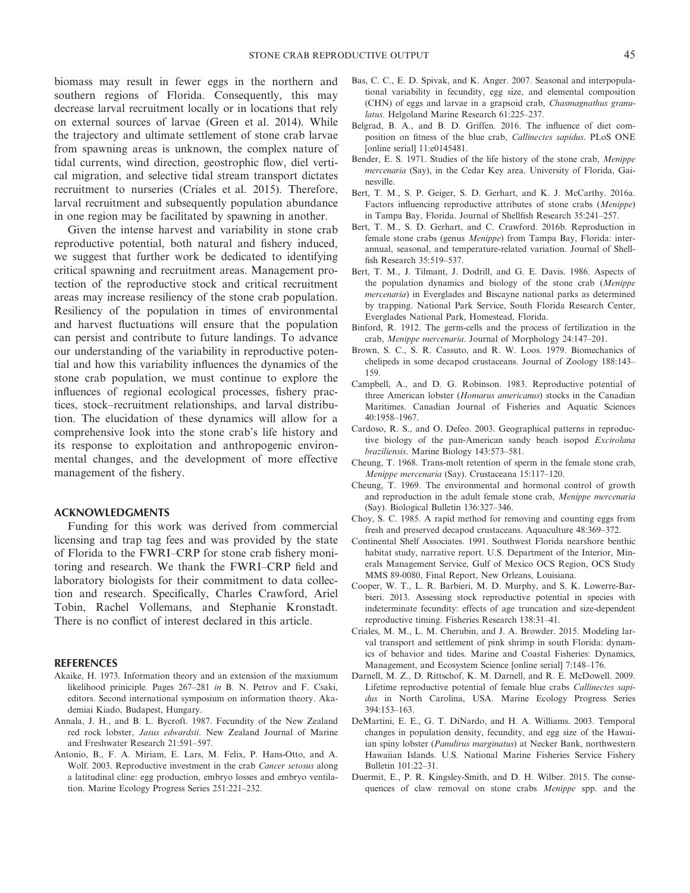biomass may result in fewer eggs in the northern and southern regions of Florida. Consequently, this may decrease larval recruitment locally or in locations that rely on external sources of larvae (Green et al. 2014). While the trajectory and ultimate settlement of stone crab larvae from spawning areas is unknown, the complex nature of tidal currents, wind direction, geostrophic flow, diel vertical migration, and selective tidal stream transport dictates recruitment to nurseries (Criales et al. 2015). Therefore, larval recruitment and subsequently population abundance in one region may be facilitated by spawning in another.

Given the intense harvest and variability in stone crab reproductive potential, both natural and fishery induced, we suggest that further work be dedicated to identifying critical spawning and recruitment areas. Management protection of the reproductive stock and critical recruitment areas may increase resiliency of the stone crab population. Resiliency of the population in times of environmental and harvest fluctuations will ensure that the population can persist and contribute to future landings. To advance our understanding of the variability in reproductive potential and how this variability influences the dynamics of the stone crab population, we must continue to explore the influences of regional ecological processes, fishery practices, stock–recruitment relationships, and larval distribution. The elucidation of these dynamics will allow for a comprehensive look into the stone crab's life history and its response to exploitation and anthropogenic environmental changes, and the development of more effective management of the fishery.

#### **ACKNOWLEDGMENTS**

Funding for this work was derived from commercial licensing and trap tag fees and was provided by the state of Florida to the FWRI–CRP for stone crab fishery monitoring and research. We thank the FWRI–CRP field and laboratory biologists for their commitment to data collection and research. Specifically, Charles Crawford, Ariel Tobin, Rachel Vollemans, and Stephanie Kronstadt. There is no conflict of interest declared in this article.

#### **REFERENCES**

- Akaike, H. 1973. Information theory and an extension of the maxiumum likelihood priniciple. Pages 267–281 *in* B. N. Petrov and F. Csaki, editors. Second international symposium on information theory. Akademiai Kiado, Budapest, Hungary.
- Annala, J. H., and B. L. Bycroft. 1987. Fecundity of the New Zealand red rock lobster, *Jasus edwardsii*. New Zealand Journal of Marine and Freshwater Research 21:591–597.
- Antonio, B., F. A. Miriam, E. Lars, M. Felix, P. Hans-Otto, and A. Wolf. 2003. Reproductive investment in the crab *Cancer setosus* along a latitudinal cline: egg production, embryo losses and embryo ventilation. Marine Ecology Progress Series 251:221–232.
- Bas, C. C., E. D. Spivak, and K. Anger. 2007. Seasonal and interpopulational variability in fecundity, egg size, and elemental composition (CHN) of eggs and larvae in a grapsoid crab, *Chasmagnathus granulatus*. Helgoland Marine Research 61:225–237.
- Belgrad, B. A., and B. D. Griffen. 2016. The influence of diet composition on fitness of the blue crab, *Callinectes sapidus*. PLoS ONE [online serial] 11:e0145481.
- Bender, E. S. 1971. Studies of the life history of the stone crab, *Menippe mercenaria* (Say), in the Cedar Key area. University of Florida, Gainesville.
- Bert, T. M., S. P. Geiger, S. D. Gerhart, and K. J. McCarthy. 2016a. Factors influencing reproductive attributes of stone crabs (*Menippe*) in Tampa Bay, Florida. Journal of Shellfish Research 35:241–257.
- Bert, T. M., S. D. Gerhart, and C. Crawford. 2016b. Reproduction in female stone crabs (genus *Menippe*) from Tampa Bay, Florida: interannual, seasonal, and temperature-related variation. Journal of Shellfish Research 35:519–537.
- Bert, T. M., J. Tilmant, J. Dodrill, and G. E. Davis. 1986. Aspects of the population dynamics and biology of the stone crab (*Menippe mercenaria*) in Everglades and Biscayne national parks as determined by trapping. National Park Service, South Florida Research Center, Everglades National Park, Homestead, Florida.
- Binford, R. 1912. The germ-cells and the process of fertilization in the crab, *Menippe mercenaria*. Journal of Morphology 24:147–201.
- Brown, S. C., S. R. Cassuto, and R. W. Loos. 1979. Biomechanics of chelipeds in some decapod crustaceans. Journal of Zoology 188:143– 159.
- Campbell, A., and D. G. Robinson. 1983. Reproductive potential of three American lobster (*Homarus americanus*) stocks in the Canadian Maritimes. Canadian Journal of Fisheries and Aquatic Sciences 40:1958–1967.
- Cardoso, R. S., and O. Defeo. 2003. Geographical patterns in reproductive biology of the pan-American sandy beach isopod *Excirolana braziliensis*. Marine Biology 143:573–581.
- Cheung, T. 1968. Trans-molt retention of sperm in the female stone crab, *Menippe mercenaria* (Say). Crustaceana 15:117–120.
- Cheung, T. 1969. The environmental and hormonal control of growth and reproduction in the adult female stone crab, *Menippe mercenaria* (Say). Biological Bulletin 136:327–346.
- Choy, S. C. 1985. A rapid method for removing and counting eggs from fresh and preserved decapod crustaceans. Aquaculture 48:369–372.
- Continental Shelf Associates. 1991. Southwest Florida nearshore benthic habitat study, narrative report. U.S. Department of the Interior, Minerals Management Service, Gulf of Mexico OCS Region, OCS Study MMS 89-0080, Final Report, New Orleans, Louisiana.
- Cooper, W. T., L. R. Barbieri, M. D. Murphy, and S. K. Lowerre-Barbieri. 2013. Assessing stock reproductive potential in species with indeterminate fecundity: effects of age truncation and size-dependent reproductive timing. Fisheries Research 138:31–41.
- Criales, M. M., L. M. Cherubin, and J. A. Browder. 2015. Modeling larval transport and settlement of pink shrimp in south Florida: dynamics of behavior and tides. Marine and Coastal Fisheries: Dynamics, Management, and Ecosystem Science [online serial] 7:148–176.
- Darnell, M. Z., D. Rittschof, K. M. Darnell, and R. E. McDowell. 2009. Lifetime reproductive potential of female blue crabs *Callinectes sapidus* in North Carolina, USA. Marine Ecology Progress Series 394:153–163.
- DeMartini, E. E., G. T. DiNardo, and H. A. Williams. 2003. Temporal changes in population density, fecundity, and egg size of the Hawaiian spiny lobster (*Panulirus marginatus*) at Necker Bank, northwestern Hawaiian Islands. U.S. National Marine Fisheries Service Fishery Bulletin 101:22–31.
- Duermit, E., P. R. Kingsley-Smith, and D. H. Wilber. 2015. The consequences of claw removal on stone crabs *Menippe* spp. and the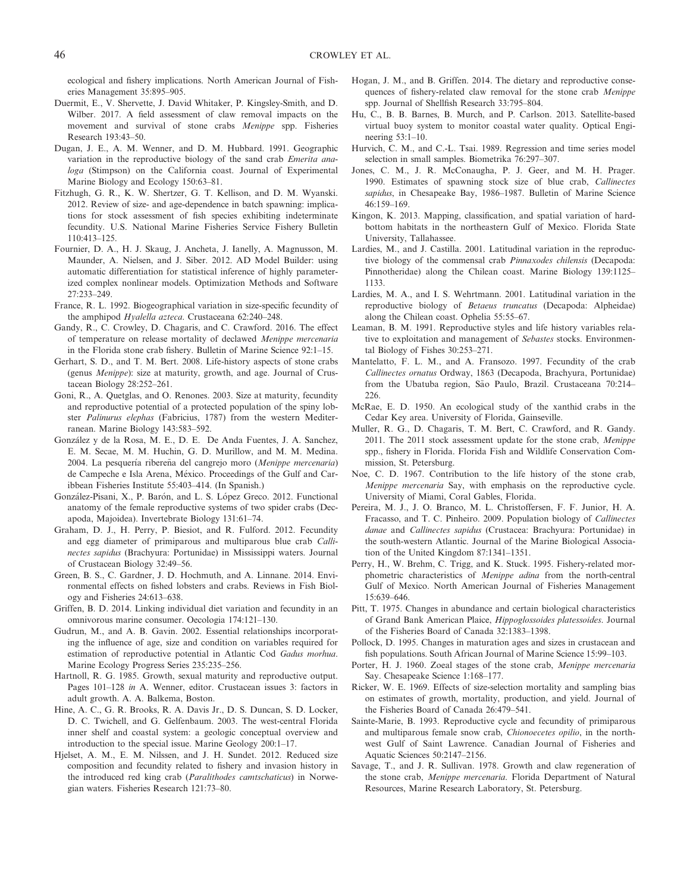ecological and fishery implications. North American Journal of Fisheries Management 35:895–905.

- Duermit, E., V. Shervette, J. David Whitaker, P. Kingsley-Smith, and D. Wilber. 2017. A field assessment of claw removal impacts on the movement and survival of stone crabs *Menippe* spp. Fisheries Research 193:43–50.
- Dugan, J. E., A. M. Wenner, and D. M. Hubbard. 1991. Geographic variation in the reproductive biology of the sand crab *Emerita analoga* (Stimpson) on the California coast. Journal of Experimental Marine Biology and Ecology 150:63–81.
- Fitzhugh, G. R., K. W. Shertzer, G. T. Kellison, and D. M. Wyanski. 2012. Review of size- and age-dependence in batch spawning: implications for stock assessment of fish species exhibiting indeterminate fecundity. U.S. National Marine Fisheries Service Fishery Bulletin 110:413–125.
- Fournier, D. A., H. J. Skaug, J. Ancheta, J. Ianelly, A. Magnusson, M. Maunder, A. Nielsen, and J. Siber. 2012. AD Model Builder: using automatic differentiation for statistical inference of highly parameterized complex nonlinear models. Optimization Methods and Software 27:233–249.
- France, R. L. 1992. Biogeographical variation in size-specific fecundity of the amphipod *Hyalella azteca*. Crustaceana 62:240–248.
- Gandy, R., C. Crowley, D. Chagaris, and C. Crawford. 2016. The effect of temperature on release mortality of declawed *Menippe mercenaria* in the Florida stone crab fishery. Bulletin of Marine Science 92:1–15.
- Gerhart, S. D., and T. M. Bert. 2008. Life-history aspects of stone crabs (genus *Menippe*): size at maturity, growth, and age. Journal of Crustacean Biology 28:252–261.
- Goni, R., A. Quetglas, and O. Renones. 2003. Size at maturity, fecundity and reproductive potential of a protected population of the spiny lobster *Palinurus elephas* (Fabricius, 1787) from the western Mediterranean. Marine Biology 143:583–592.
- Gonzalez y de la Rosa, M. E., D. E. De Anda Fuentes, J. A. Sanchez, E. M. Secae, M. M. Huchin, G. D. Murillow, and M. M. Medina. 2004. La pesquería ribereña del cangrejo moro (Menippe mercenaria) de Campeche e Isla Arena, Mexico. Proceedings of the Gulf and Caribbean Fisheries Institute 55:403–414. (In Spanish.)
- González-Pisani, X., P. Barón, and L. S. López Greco. 2012. Functional anatomy of the female reproductive systems of two spider crabs (Decapoda, Majoidea). Invertebrate Biology 131:61–74.
- Graham, D. J., H. Perry, P. Biesiot, and R. Fulford. 2012. Fecundity and egg diameter of primiparous and multiparous blue crab *Callinectes sapidus* (Brachyura: Portunidae) in Mississippi waters. Journal of Crustacean Biology 32:49–56.
- Green, B. S., C. Gardner, J. D. Hochmuth, and A. Linnane. 2014. Environmental effects on fished lobsters and crabs. Reviews in Fish Biology and Fisheries 24:613–638.
- Griffen, B. D. 2014. Linking individual diet variation and fecundity in an omnivorous marine consumer. Oecologia 174:121–130.
- Gudrun, M., and A. B. Gavin. 2002. Essential relationships incorporating the influence of age, size and condition on variables required for estimation of reproductive potential in Atlantic Cod *Gadus morhua*. Marine Ecology Progress Series 235:235–256.
- Hartnoll, R. G. 1985. Growth, sexual maturity and reproductive output. Pages 101–128 *in* A. Wenner, editor. Crustacean issues 3: factors in adult growth. A. A. Balkema, Boston.
- Hine, A. C., G. R. Brooks, R. A. Davis Jr., D. S. Duncan, S. D. Locker, D. C. Twichell, and G. Gelfenbaum. 2003. The west-central Florida inner shelf and coastal system: a geologic conceptual overview and introduction to the special issue. Marine Geology 200:1–17.
- Hjelset, A. M., E. M. Nilssen, and J. H. Sundet. 2012. Reduced size composition and fecundity related to fishery and invasion history in the introduced red king crab (*Paralithodes camtschaticus*) in Norwegian waters. Fisheries Research 121:73–80.
- Hogan, J. M., and B. Griffen. 2014. The dietary and reproductive consequences of fishery-related claw removal for the stone crab *Menippe* spp. Journal of Shellfish Research 33:795–804.
- Hu, C., B. B. Barnes, B. Murch, and P. Carlson. 2013. Satellite-based virtual buoy system to monitor coastal water quality. Optical Engineering 53:1–10.
- Hurvich, C. M., and C.-L. Tsai. 1989. Regression and time series model selection in small samples. Biometrika 76:297–307.
- Jones, C. M., J. R. McConaugha, P. J. Geer, and M. H. Prager. 1990. Estimates of spawning stock size of blue crab, *Callinectes sapidus*, in Chesapeake Bay, 1986–1987. Bulletin of Marine Science 46:159–169.
- Kingon, K. 2013. Mapping, classification, and spatial variation of hardbottom habitats in the northeastern Gulf of Mexico. Florida State University, Tallahassee.
- Lardies, M., and J. Castilla. 2001. Latitudinal variation in the reproductive biology of the commensal crab *Pinnaxodes chilensis* (Decapoda: Pinnotheridae) along the Chilean coast. Marine Biology 139:1125– 1133.
- Lardies, M. A., and I. S. Wehrtmann. 2001. Latitudinal variation in the reproductive biology of *Betaeus truncatus* (Decapoda: Alpheidae) along the Chilean coast. Ophelia 55:55–67.
- Leaman, B. M. 1991. Reproductive styles and life history variables relative to exploitation and management of *Sebastes* stocks. Environmental Biology of Fishes 30:253–271.
- Mantelatto, F. L. M., and A. Fransozo. 1997. Fecundity of the crab *Callinectes ornatus* Ordway, 1863 (Decapoda, Brachyura, Portunidae) from the Ubatuba region, São Paulo, Brazil. Crustaceana 70:214– 226.
- McRae, E. D. 1950. An ecological study of the xanthid crabs in the Cedar Key area. University of Florida, Gainseville.
- Muller, R. G., D. Chagaris, T. M. Bert, C. Crawford, and R. Gandy. 2011. The 2011 stock assessment update for the stone crab, *Menippe* spp., fishery in Florida. Florida Fish and Wildlife Conservation Commission, St. Petersburg.
- Noe, C. D. 1967. Contribution to the life history of the stone crab, *Menippe mercenaria* Say, with emphasis on the reproductive cycle. University of Miami, Coral Gables, Florida.
- Pereira, M. J., J. O. Branco, M. L. Christoffersen, F. F. Junior, H. A. Fracasso, and T. C. Pinheiro. 2009. Population biology of *Callinectes danae* and *Callinectes sapidus* (Crustacea: Brachyura: Portunidae) in the south-western Atlantic. Journal of the Marine Biological Association of the United Kingdom 87:1341–1351.
- Perry, H., W. Brehm, C. Trigg, and K. Stuck. 1995. Fishery-related morphometric characteristics of *Menippe adina* from the north-central Gulf of Mexico. North American Journal of Fisheries Management 15:639–646.
- Pitt, T. 1975. Changes in abundance and certain biological characteristics of Grand Bank American Plaice, *Hippoglossoides platessoides*. Journal of the Fisheries Board of Canada 32:1383–1398.
- Pollock, D. 1995. Changes in maturation ages and sizes in crustacean and fish populations. South African Journal of Marine Science 15:99–103.
- Porter, H. J. 1960. Zoeal stages of the stone crab, *Menippe mercenaria* Say. Chesapeake Science 1:168–177.
- Ricker, W. E. 1969. Effects of size-selection mortality and sampling bias on estimates of growth, mortality, production, and yield. Journal of the Fisheries Board of Canada 26:479–541.
- Sainte-Marie, B. 1993. Reproductive cycle and fecundity of primiparous and multiparous female snow crab, *Chionoecetes opilio*, in the northwest Gulf of Saint Lawrence. Canadian Journal of Fisheries and Aquatic Sciences 50:2147–2156.
- Savage, T., and J. R. Sullivan. 1978. Growth and claw regeneration of the stone crab, *Menippe mercenaria*. Florida Department of Natural Resources, Marine Research Laboratory, St. Petersburg.